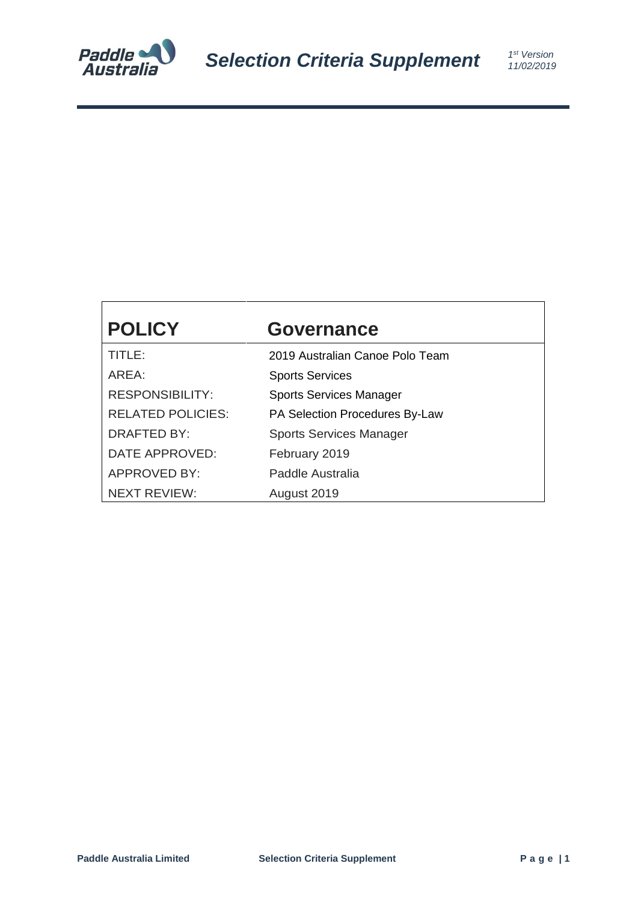

# **POLICY Governance** TITLE: 2019 Australian Canoe Polo Team AREA: Sports Services RESPONSIBILITY: Sports Services Manager RELATED POLICIES: PA Selection Procedures By-Law DRAFTED BY: Sports Services Manager DATE APPROVED: February 2019 APPROVED BY: Paddle Australia

NEXT REVIEW: August 2019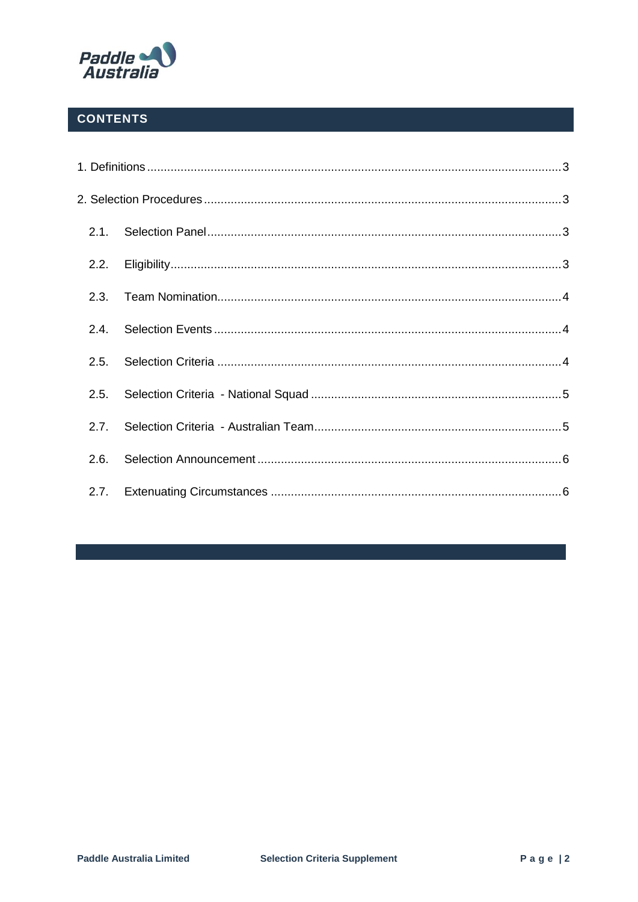

## **CONTENTS**

| 2.1. |  |  |
|------|--|--|
| 2.2. |  |  |
| 2.3. |  |  |
| 2.4. |  |  |
| 2.5. |  |  |
| 2.5. |  |  |
| 2.7. |  |  |
| 2.6. |  |  |
| 2.7. |  |  |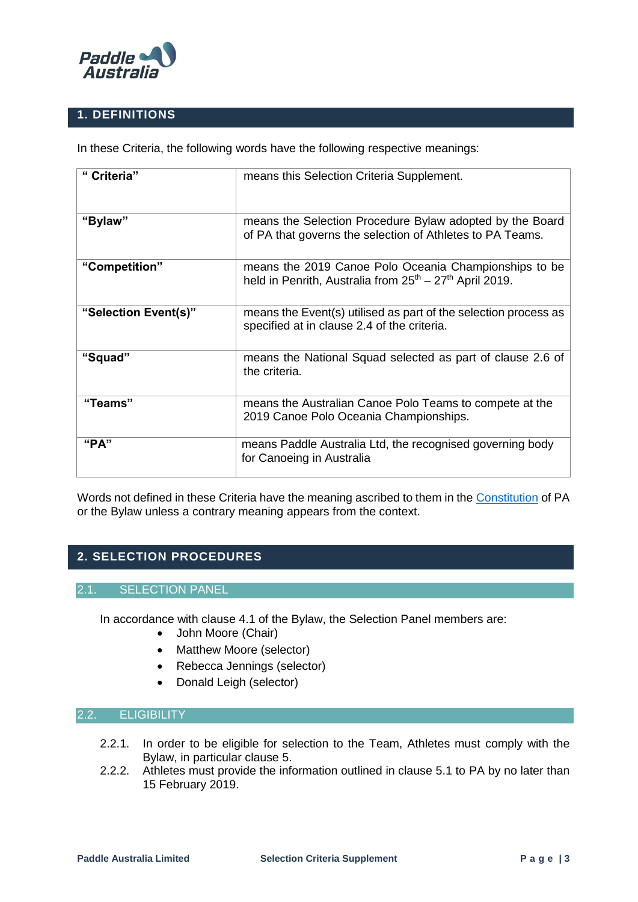

### <span id="page-2-0"></span>**1. DEFINITIONS**

In these Criteria, the following words have the following respective meanings:

| " Criteria"          | means this Selection Criteria Supplement.                                                                             |  |
|----------------------|-----------------------------------------------------------------------------------------------------------------------|--|
| "Bylaw"              | means the Selection Procedure Bylaw adopted by the Board<br>of PA that governs the selection of Athletes to PA Teams. |  |
| "Competition"        | means the 2019 Canoe Polo Oceania Championships to be<br>held in Penrith, Australia from $25th - 27th$ April 2019.    |  |
| "Selection Event(s)" | means the Event(s) utilised as part of the selection process as<br>specified at in clause 2.4 of the criteria.        |  |
| "Squad"              | means the National Squad selected as part of clause 2.6 of<br>the criteria.                                           |  |
| "Teams"              | means the Australian Canoe Polo Teams to compete at the<br>2019 Canoe Polo Oceania Championships.                     |  |
| " $PA"$              | means Paddle Australia Ltd, the recognised governing body<br>for Canoeing in Australia                                |  |

Words not defined in these Criteria have the meaning ascribed to them in the [Constitution](http://canoe.org.au/wp-content/uploads/2017/12/20171214-PA-Constitution-as-at-Nov-4-2017.pdf) of PA or the Bylaw unless a contrary meaning appears from the context.

## <span id="page-2-1"></span>**2. SELECTION PROCEDURES**

#### 2.1. SELECTION PANEL

<span id="page-2-2"></span>In accordance with clause 4.1 of the Bylaw, the Selection Panel members are:

- John Moore (Chair)
- Matthew Moore (selector)
- Rebecca Jennings (selector)
- Donald Leigh (selector)

#### <span id="page-2-3"></span>2.2. ELIGIBILITY

- 2.2.1. In order to be eligible for selection to the Team, Athletes must comply with the Bylaw, in particular clause 5.
- 2.2.2. Athletes must provide the information outlined in clause 5.1 to PA by no later than 15 February 2019.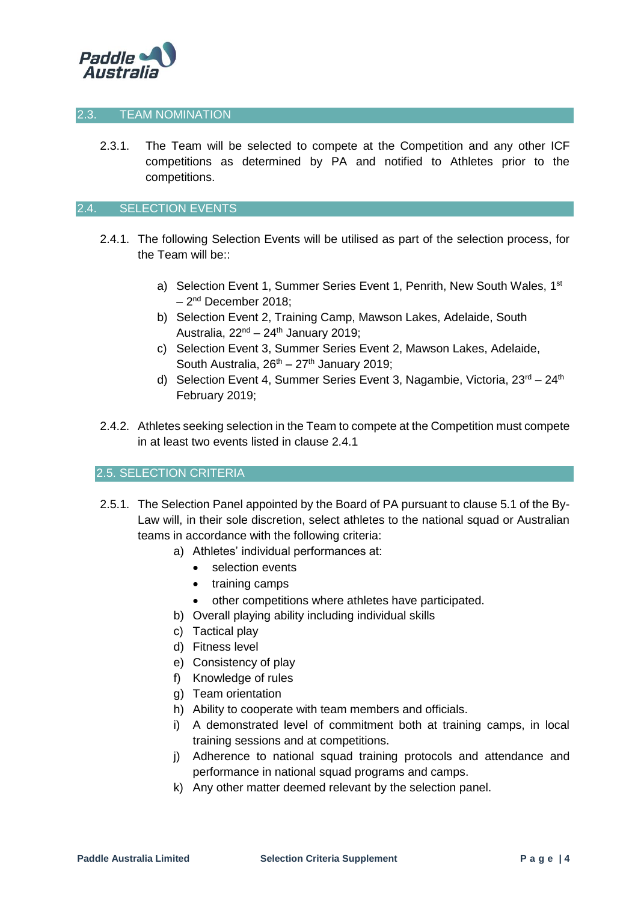

#### <span id="page-3-0"></span>2.3. TEAM NOMINATION

2.3.1. The Team will be selected to compete at the Competition and any other ICF competitions as determined by PA and notified to Athletes prior to the competitions.

#### <span id="page-3-1"></span>2.4. SELECTION EVENTS

- 2.4.1. The following Selection Events will be utilised as part of the selection process, for the Team will be::
	- a) Selection Event 1, Summer Series Event 1, Penrith, New South Wales, 1<sup>st</sup> – 2<sup>nd</sup> December 2018;
	- b) Selection Event 2, Training Camp, Mawson Lakes, Adelaide, South Australia,  $22<sup>nd</sup> - 24<sup>th</sup>$  January 2019;
	- c) Selection Event 3, Summer Series Event 2, Mawson Lakes, Adelaide, South Australia,  $26^{th} - 27^{th}$  January 2019;
	- d) Selection Event 4, Summer Series Event 3, Nagambie, Victoria, 23<sup>rd</sup> 24<sup>th</sup> February 2019;
- 2.4.2. Athletes seeking selection in the Team to compete at the Competition must compete in at least two events listed in clause 2.4.1

#### <span id="page-3-2"></span>2.5. SELECTION CRITERIA

- 2.5.1. The Selection Panel appointed by the Board of PA pursuant to clause 5.1 of the By-Law will, in their sole discretion, select athletes to the national squad or Australian teams in accordance with the following criteria:
	- a) Athletes' individual performances at:
		- selection events
		- training camps
		- other competitions where athletes have participated.
	- b) Overall playing ability including individual skills
	- c) Tactical play
	- d) Fitness level
	- e) Consistency of play
	- f) Knowledge of rules
	- g) Team orientation
	- h) Ability to cooperate with team members and officials.
	- i) A demonstrated level of commitment both at training camps, in local training sessions and at competitions.
	- j) Adherence to national squad training protocols and attendance and performance in national squad programs and camps.
	- k) Any other matter deemed relevant by the selection panel.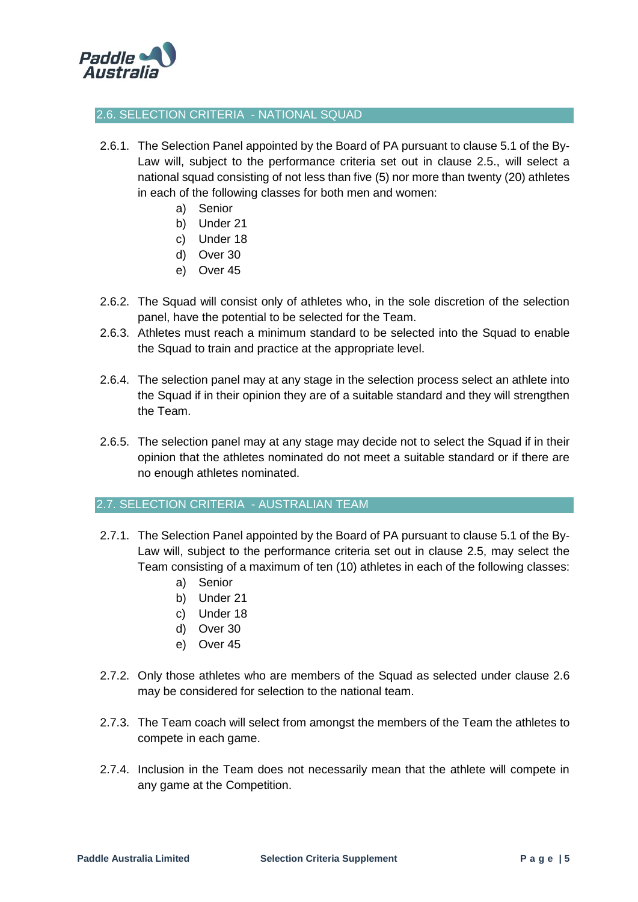

#### <span id="page-4-0"></span>2.6. SELECTION CRITERIA - NATIONAL SQUAD

- 2.6.1. The Selection Panel appointed by the Board of PA pursuant to clause 5.1 of the By-Law will, subject to the performance criteria set out in clause 2.5., will select a national squad consisting of not less than five (5) nor more than twenty (20) athletes in each of the following classes for both men and women:
	- a) Senior
	- b) Under 21
	- c) Under 18
	- d) Over 30
	- e) Over 45
- 2.6.2. The Squad will consist only of athletes who, in the sole discretion of the selection panel, have the potential to be selected for the Team.
- 2.6.3. Athletes must reach a minimum standard to be selected into the Squad to enable the Squad to train and practice at the appropriate level.
- 2.6.4. The selection panel may at any stage in the selection process select an athlete into the Squad if in their opinion they are of a suitable standard and they will strengthen the Team.
- 2.6.5. The selection panel may at any stage may decide not to select the Squad if in their opinion that the athletes nominated do not meet a suitable standard or if there are no enough athletes nominated.

#### <span id="page-4-1"></span>2.7. SELECTION CRITERIA - AUSTRALIAN TEAM

- 2.7.1. The Selection Panel appointed by the Board of PA pursuant to clause 5.1 of the By-Law will, subject to the performance criteria set out in clause 2.5, may select the Team consisting of a maximum of ten (10) athletes in each of the following classes:
	- a) Senior
	- b) Under 21
	- c) Under 18
	- d) Over 30
	- e) Over 45
- 2.7.2. Only those athletes who are members of the Squad as selected under clause 2.6 may be considered for selection to the national team.
- 2.7.3. The Team coach will select from amongst the members of the Team the athletes to compete in each game.
- 2.7.4. Inclusion in the Team does not necessarily mean that the athlete will compete in any game at the Competition.